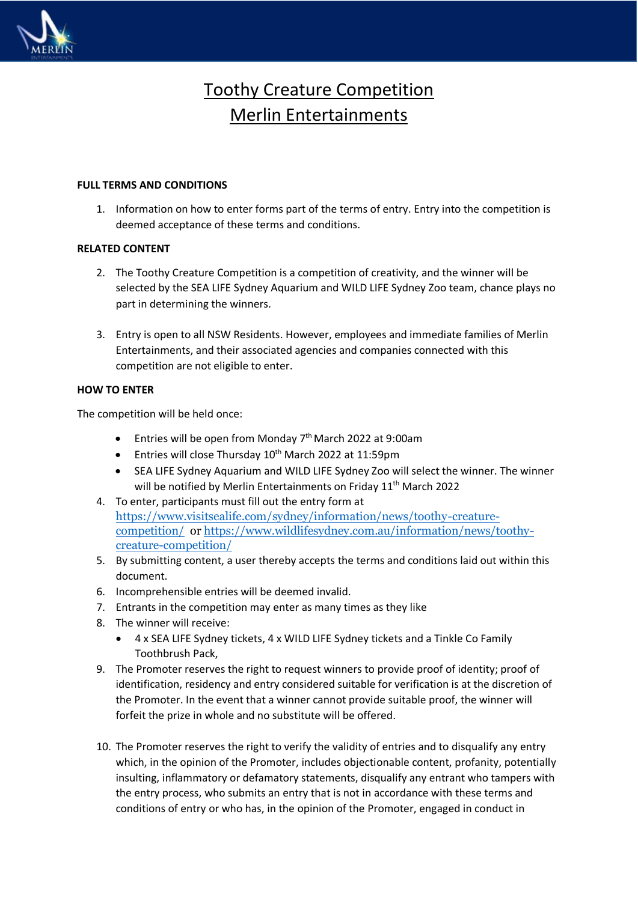

# Toothy Creature Competition Merlin Entertainments

# **FULL TERMS AND CONDITIONS**

1. Information on how to enter forms part of the terms of entry. Entry into the competition is deemed acceptance of these terms and conditions.

# **RELATED CONTENT**

- 2. The Toothy Creature Competition is a competition of creativity, and the winner will be selected by the SEA LIFE Sydney Aquarium and WILD LIFE Sydney Zoo team, chance plays no part in determining the winners.
- 3. Entry is open to all NSW Residents. However, employees and immediate families of Merlin Entertainments, and their associated agencies and companies connected with this competition are not eligible to enter.

# **HOW TO ENTER**

The competition will be held once:

- Entries will be open from Monday  $7<sup>th</sup>$  March 2022 at 9:00am
- Entries will close Thursday 10<sup>th</sup> March 2022 at 11:59pm
- SEA LIFE Sydney Aquarium and WILD LIFE Sydney Zoo will select the winner. The winner will be notified by Merlin Entertainments on Friday 11<sup>th</sup> March 2022
- 4. To enter, participants must fill out the entry form at [https://www.visitsealife.com/sydney/information/news/toothy-creature](https://www.visitsealife.com/sydney/information/news/toothy-creature-competition/)[competition/](https://www.visitsealife.com/sydney/information/news/toothy-creature-competition/) or [https://www.wildlifesydney.com.au/information/news/toothy](https://www.wildlifesydney.com.au/information/news/toothy-creature-competition/)[creature-competition/](https://www.wildlifesydney.com.au/information/news/toothy-creature-competition/)
- 5. By submitting content, a user thereby accepts the terms and conditions laid out within this document.
- 6. Incomprehensible entries will be deemed invalid.
- 7. Entrants in the competition may enter as many times as they like
- 8. The winner will receive:
	- 4 x SEA LIFE Sydney tickets, 4 x WILD LIFE Sydney tickets and a Tinkle Co Family Toothbrush Pack,
- 9. The Promoter reserves the right to request winners to provide proof of identity; proof of identification, residency and entry considered suitable for verification is at the discretion of the Promoter. In the event that a winner cannot provide suitable proof, the winner will forfeit the prize in whole and no substitute will be offered.
- 10. The Promoter reserves the right to verify the validity of entries and to disqualify any entry which, in the opinion of the Promoter, includes objectionable content, profanity, potentially insulting, inflammatory or defamatory statements, disqualify any entrant who tampers with the entry process, who submits an entry that is not in accordance with these terms and conditions of entry or who has, in the opinion of the Promoter, engaged in conduct in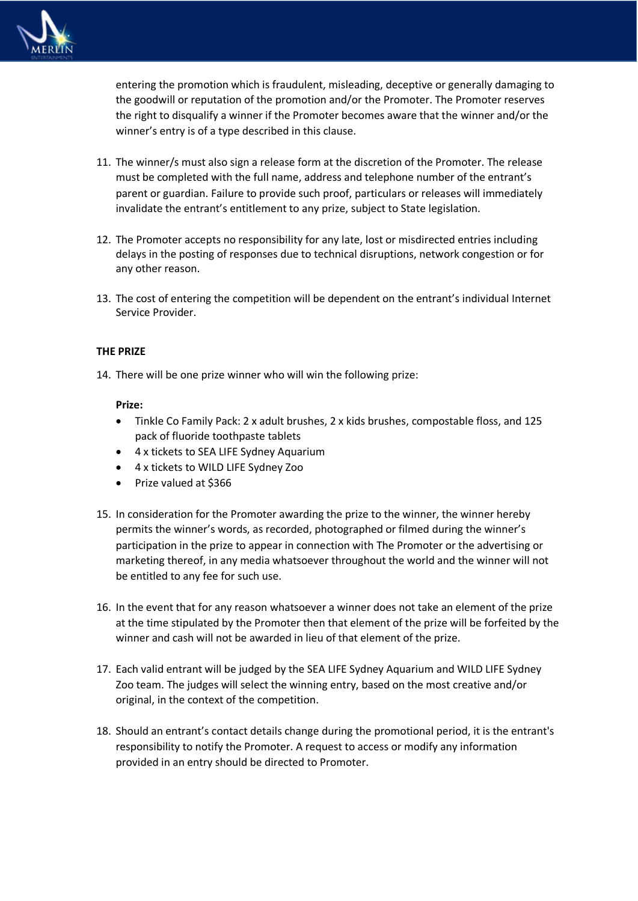

entering the promotion which is fraudulent, misleading, deceptive or generally damaging to the goodwill or reputation of the promotion and/or the Promoter. The Promoter reserves the right to disqualify a winner if the Promoter becomes aware that the winner and/or the winner's entry is of a type described in this clause.

- 11. The winner/s must also sign a release form at the discretion of the Promoter. The release must be completed with the full name, address and telephone number of the entrant's parent or guardian. Failure to provide such proof, particulars or releases will immediately invalidate the entrant's entitlement to any prize, subject to State legislation.
- 12. The Promoter accepts no responsibility for any late, lost or misdirected entries including delays in the posting of responses due to technical disruptions, network congestion or for any other reason.
- 13. The cost of entering the competition will be dependent on the entrant's individual Internet Service Provider.

# **THE PRIZE**

14. There will be one prize winner who will win the following prize:

#### **Prize:**

- Tinkle Co Family Pack: 2 x adult brushes, 2 x kids brushes, compostable floss, and 125 pack of fluoride toothpaste tablets
- 4 x tickets to SEA LIFE Sydney Aquarium
- 4 x tickets to WILD LIFE Sydney Zoo
- Prize valued at \$366
- 15. In consideration for the Promoter awarding the prize to the winner, the winner hereby permits the winner's words, as recorded, photographed or filmed during the winner's participation in the prize to appear in connection with The Promoter or the advertising or marketing thereof, in any media whatsoever throughout the world and the winner will not be entitled to any fee for such use.
- 16. In the event that for any reason whatsoever a winner does not take an element of the prize at the time stipulated by the Promoter then that element of the prize will be forfeited by the winner and cash will not be awarded in lieu of that element of the prize.
- 17. Each valid entrant will be judged by the SEA LIFE Sydney Aquarium and WILD LIFE Sydney Zoo team. The judges will select the winning entry, based on the most creative and/or original, in the context of the competition.
- 18. Should an entrant's contact details change during the promotional period, it is the entrant's responsibility to notify the Promoter. A request to access or modify any information provided in an entry should be directed to Promoter.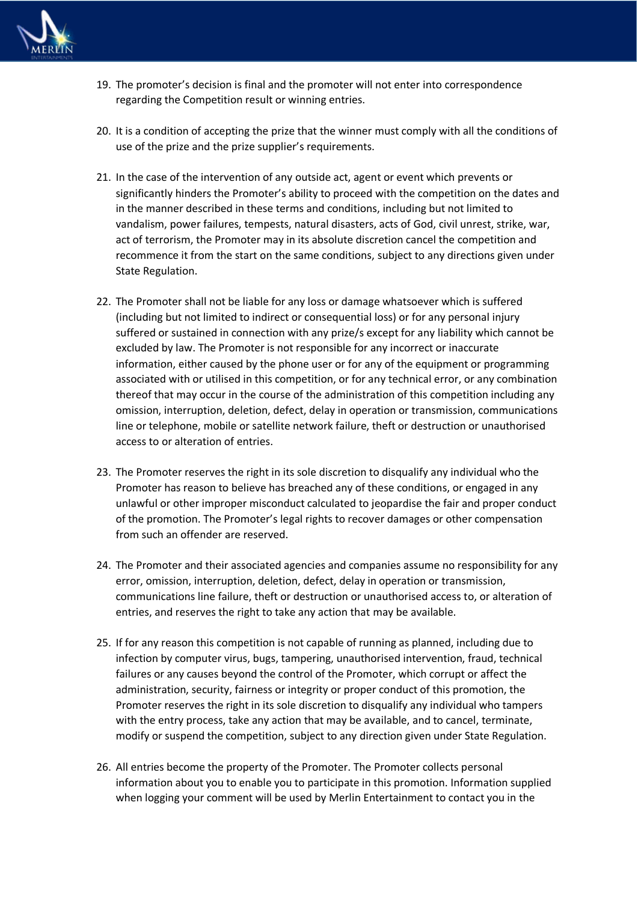

- 19. The promoter's decision is final and the promoter will not enter into correspondence regarding the Competition result or winning entries.
- 20. It is a condition of accepting the prize that the winner must comply with all the conditions of use of the prize and the prize supplier's requirements.
- 21. In the case of the intervention of any outside act, agent or event which prevents or significantly hinders the Promoter's ability to proceed with the competition on the dates and in the manner described in these terms and conditions, including but not limited to vandalism, power failures, tempests, natural disasters, acts of God, civil unrest, strike, war, act of terrorism, the Promoter may in its absolute discretion cancel the competition and recommence it from the start on the same conditions, subject to any directions given under State Regulation.
- 22. The Promoter shall not be liable for any loss or damage whatsoever which is suffered (including but not limited to indirect or consequential loss) or for any personal injury suffered or sustained in connection with any prize/s except for any liability which cannot be excluded by law. The Promoter is not responsible for any incorrect or inaccurate information, either caused by the phone user or for any of the equipment or programming associated with or utilised in this competition, or for any technical error, or any combination thereof that may occur in the course of the administration of this competition including any omission, interruption, deletion, defect, delay in operation or transmission, communications line or telephone, mobile or satellite network failure, theft or destruction or unauthorised access to or alteration of entries.
- 23. The Promoter reserves the right in its sole discretion to disqualify any individual who the Promoter has reason to believe has breached any of these conditions, or engaged in any unlawful or other improper misconduct calculated to jeopardise the fair and proper conduct of the promotion. The Promoter's legal rights to recover damages or other compensation from such an offender are reserved.
- 24. The Promoter and their associated agencies and companies assume no responsibility for any error, omission, interruption, deletion, defect, delay in operation or transmission, communications line failure, theft or destruction or unauthorised access to, or alteration of entries, and reserves the right to take any action that may be available.
- 25. If for any reason this competition is not capable of running as planned, including due to infection by computer virus, bugs, tampering, unauthorised intervention, fraud, technical failures or any causes beyond the control of the Promoter, which corrupt or affect the administration, security, fairness or integrity or proper conduct of this promotion, the Promoter reserves the right in its sole discretion to disqualify any individual who tampers with the entry process, take any action that may be available, and to cancel, terminate, modify or suspend the competition, subject to any direction given under State Regulation.
- 26. All entries become the property of the Promoter. The Promoter collects personal information about you to enable you to participate in this promotion. Information supplied when logging your comment will be used by Merlin Entertainment to contact you in the